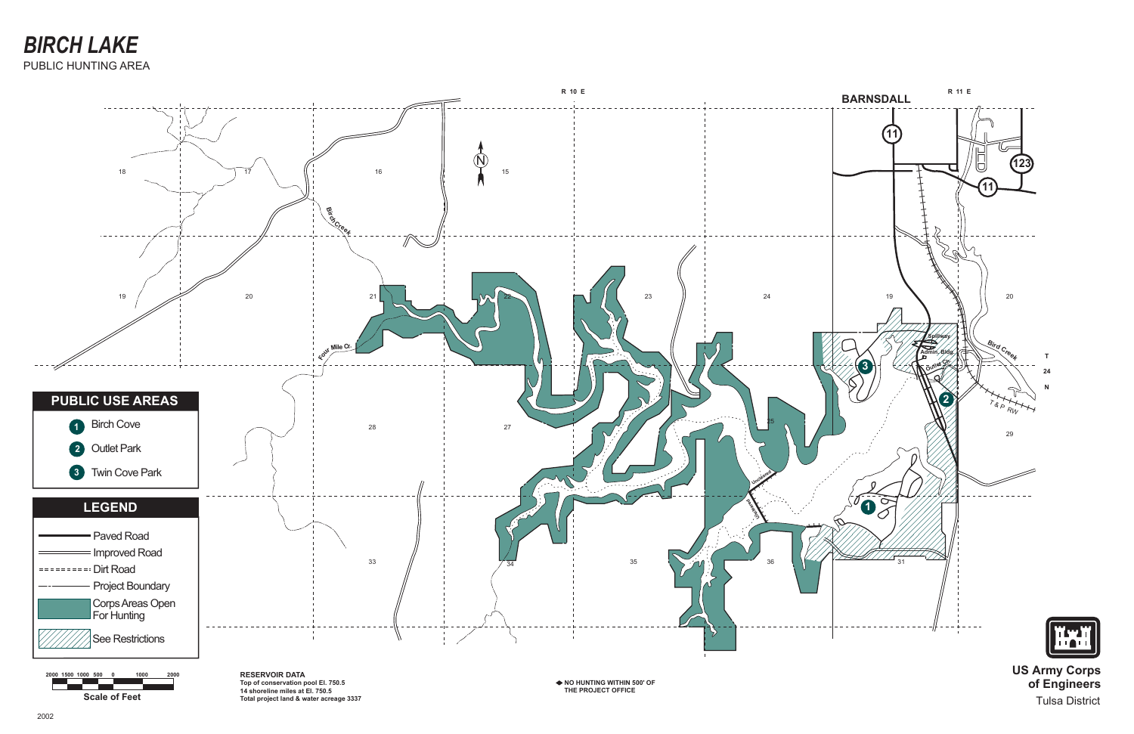

**Scale of Feet 2000 1500 1000 500 0 1000 2000** **US Army Corps of Engineers** Tulsa District



**RESERVOIR DATA Top of conservation pool El. 750.5 14 shoreline miles at El. 750.5 Total project land & water acreage 3337**

**NO HUNTING WITHIN 500' OF THE PROJECT OFFICE**